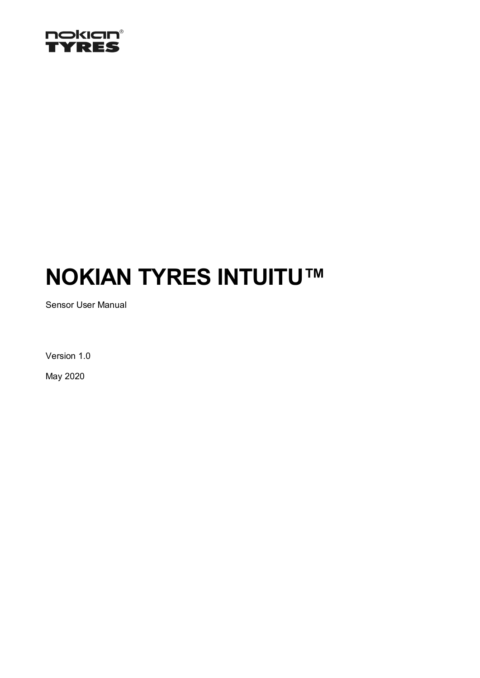

# **NOKIAN TYRES INTUITU™**

Sensor User Manual

Version 1.0

May 2020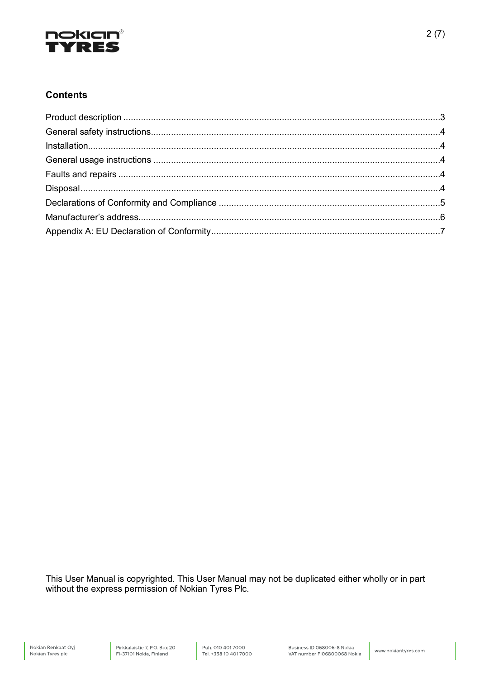

## **Contents**

This User Manual is copyrighted. This User Manual may not be duplicated either wholly or in part without the express permission of Nokian Tyres Plc.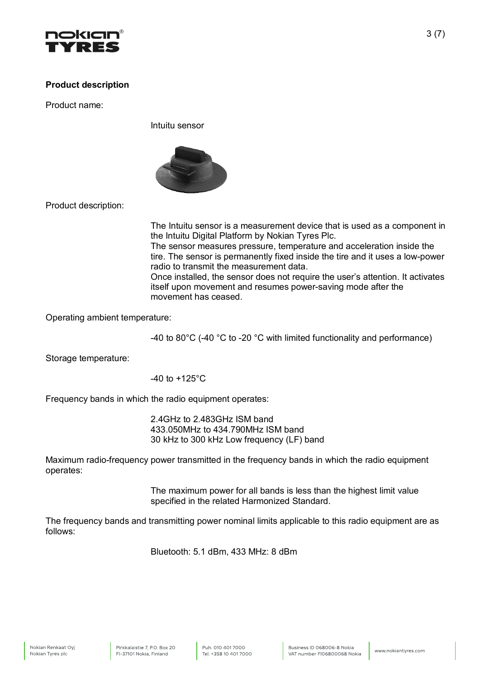

## <span id="page-2-0"></span>**Product description**

Product name:

Intuitu sensor



Product description:

The Intuitu sensor is a measurement device that is used as a component in the Intuitu Digital Platform by Nokian Tyres Plc. The sensor measures pressure, temperature and acceleration inside the tire. The sensor is permanently fixed inside the tire and it uses a low-power radio to transmit the measurement data. Once installed, the sensor does not require the user's attention. It activates itself upon movement and resumes power-saving mode after the movement has ceased.

Operating ambient temperature:

-40 to 80°C (-40 °C to -20 °C with limited functionality and performance)

Storage temperature:

 $-40$  to  $+125^{\circ}$ C

Frequency bands in which the radio equipment operates:

2.4GHz to 2.483GHz ISM band 433.050MHz to 434.790MHz ISM band 30 kHz to 300 kHz Low frequency (LF) band

Maximum radio-frequency power transmitted in the frequency bands in which the radio equipment operates:

> The maximum power for all bands is less than the highest limit value specified in the related Harmonized Standard.

The frequency bands and transmitting power nominal limits applicable to this radio equipment are as follows:

Bluetooth: 5.1 dBm, 433 MHz: 8 dBm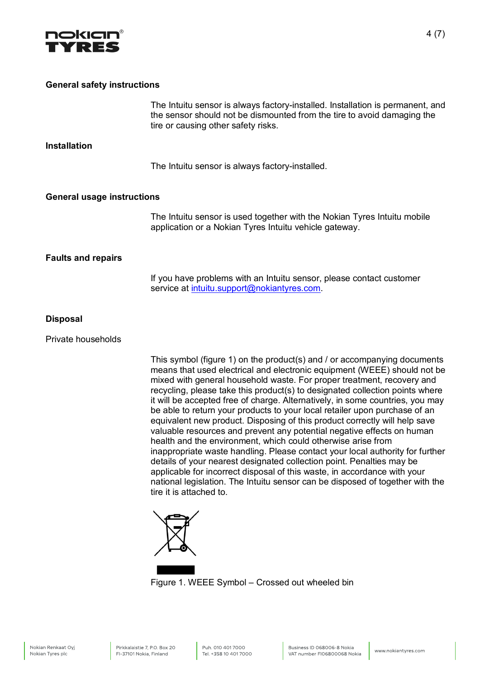

#### <span id="page-3-0"></span>**General safety instructions**

The Intuitu sensor is always factory-installed. Installation is permanent, and the sensor should not be dismounted from the tire to avoid damaging the tire or causing other safety risks.

### <span id="page-3-1"></span>**Installation**

The Intuitu sensor is always factory-installed.

#### <span id="page-3-2"></span>**General usage instructions**

The Intuitu sensor is used together with the Nokian Tyres Intuitu mobile application or a Nokian Tyres Intuitu vehicle gateway.

#### <span id="page-3-3"></span>**Faults and repairs**

If you have problems with an Intuitu sensor, please contact customer service at [intuitu.support@nokiantyres.com.](mailto:intuitu.support@nokiantyres.com)

#### <span id="page-3-4"></span>**Disposal**

Private households

This symbol (figure 1) on the product(s) and / or accompanying documents means that used electrical and electronic equipment (WEEE) should not be mixed with general household waste. For proper treatment, recovery and recycling, please take this product(s) to designated collection points where it will be accepted free of charge. Alternatively, in some countries, you may be able to return your products to your local retailer upon purchase of an equivalent new product. Disposing of this product correctly will help save valuable resources and prevent any potential negative effects on human health and the environment, which could otherwise arise from inappropriate waste handling. Please contact your local authority for further details of your nearest designated collection point. Penalties may be applicable for incorrect disposal of this waste, in accordance with your national legislation. The Intuitu sensor can be disposed of together with the tire it is attached to.

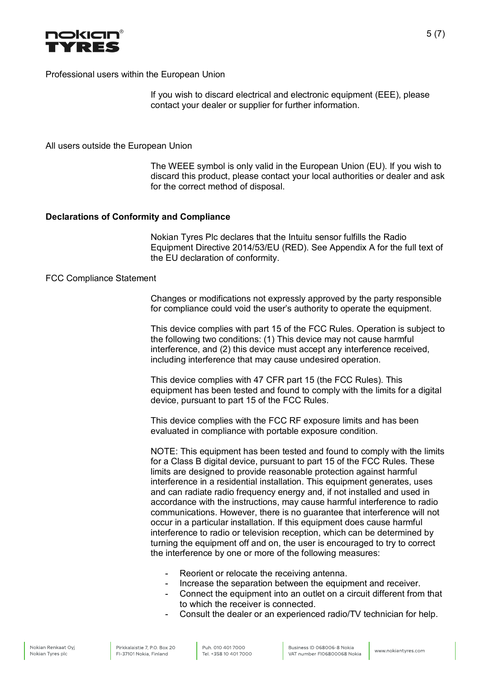

Professional users within the European Union

If you wish to discard electrical and electronic equipment (EEE), please contact your dealer or supplier for further information.

All users outside the European Union

The WEEE symbol is only valid in the European Union (EU). If you wish to discard this product, please contact your local authorities or dealer and ask for the correct method of disposal.

## <span id="page-4-0"></span>**Declarations of Conformity and Compliance**

Nokian Tyres Plc declares that the Intuitu sensor fulfills the Radio Equipment Directive 2014/53/EU (RED). See Appendix A for the full text of the EU declaration of conformity.

## FCC Compliance Statement

Changes or modifications not expressly approved by the party responsible for compliance could void the user's authority to operate the equipment.

This device complies with part 15 of the FCC Rules. Operation is subject to the following two conditions: (1) This device may not cause harmful interference, and (2) this device must accept any interference received, including interference that may cause undesired operation.

This device complies with 47 CFR part 15 (the FCC Rules). This equipment has been tested and found to comply with the limits for a digital device, pursuant to part 15 of the FCC Rules.

This device complies with the FCC RF exposure limits and has been evaluated in compliance with portable exposure condition.

NOTE: This equipment has been tested and found to comply with the limits for a Class B digital device, pursuant to part 15 of the FCC Rules. These limits are designed to provide reasonable protection against harmful interference in a residential installation. This equipment generates, uses and can radiate radio frequency energy and, if not installed and used in accordance with the instructions, may cause harmful interference to radio communications. However, there is no guarantee that interference will not occur in a particular installation. If this equipment does cause harmful interference to radio or television reception, which can be determined by turning the equipment off and on, the user is encouraged to try to correct the interference by one or more of the following measures:

- Reorient or relocate the receiving antenna.
- Increase the separation between the equipment and receiver.
- Connect the equipment into an outlet on a circuit different from that to which the receiver is connected.
- Consult the dealer or an experienced radio/TV technician for help.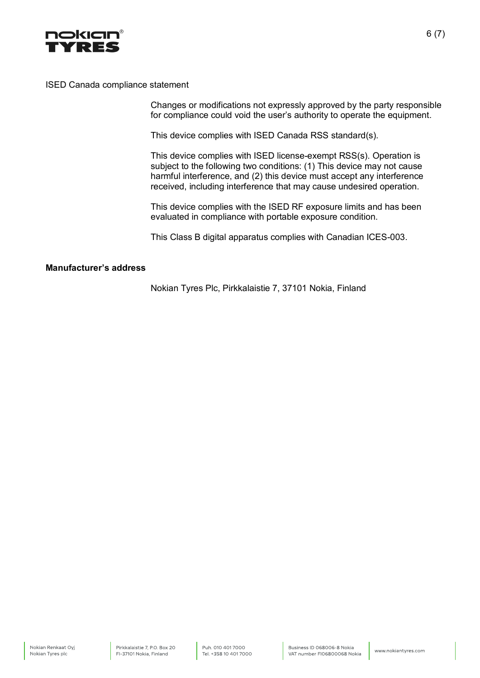

#### ISED Canada compliance statement

Changes or modifications not expressly approved by the party responsible for compliance could void the user's authority to operate the equipment.

This device complies with ISED Canada RSS standard(s).

This device complies with ISED license-exempt RSS(s). Operation is subject to the following two conditions: (1) This device may not cause harmful interference, and (2) this device must accept any interference received, including interference that may cause undesired operation.

This device complies with the ISED RF exposure limits and has been evaluated in compliance with portable exposure condition.

This Class B digital apparatus complies with Canadian ICES-003.

#### <span id="page-5-0"></span>**Manufacturer's address**

Nokian Tyres Plc, Pirkkalaistie 7, 37101 Nokia, Finland